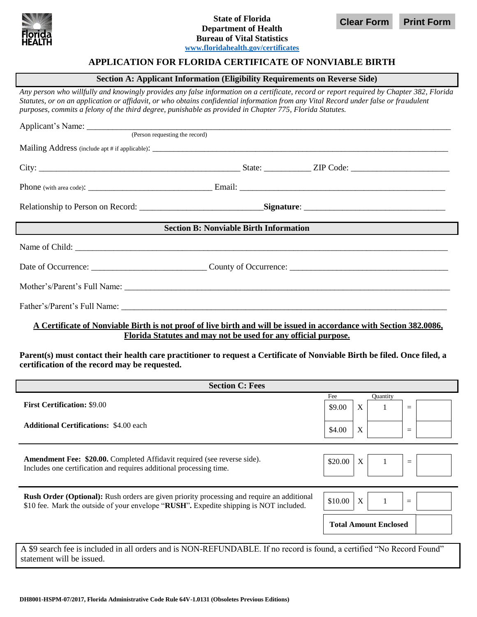

## **State of Florida Department of Health Bureau of Vital Statistics [www.floridahealth.gov/certificates](http://www.floridahealth.gov/certificates)**

**Clear Form Print Form**

## **APPLICATION FOR FLORIDA CERTIFICATE OF NONVIABLE BIRTH**

### **Section A: Applicant Information (Eligibility Requirements on Reverse Side)**

*Any person who willfully and knowingly provides any false information on a certificate, record or report required by Chapter 382, Florida Statutes, or on an application or affidavit, or who obtains confidential information from any Vital Record under false or fraudulent purposes, commits a felony of the third degree, punishable as provided in Chapter 775, Florida Statutes.*

| (Person requesting the record)                                  |  |  |  |  |  |  |  |  |
|-----------------------------------------------------------------|--|--|--|--|--|--|--|--|
|                                                                 |  |  |  |  |  |  |  |  |
|                                                                 |  |  |  |  |  |  |  |  |
|                                                                 |  |  |  |  |  |  |  |  |
|                                                                 |  |  |  |  |  |  |  |  |
| <b>Section B: Nonviable Birth Information</b>                   |  |  |  |  |  |  |  |  |
|                                                                 |  |  |  |  |  |  |  |  |
| Date of Occurrence: County of Occurrence: County of Occurrence: |  |  |  |  |  |  |  |  |
|                                                                 |  |  |  |  |  |  |  |  |
|                                                                 |  |  |  |  |  |  |  |  |

## **A Certificate of Nonviable Birth is not proof of live birth and will be issued in accordance with Section 382.0086, Florida Statutes and may not be used for any official purpose.**

**Parent(s) must contact their health care practitioner to request a Certificate of Nonviable Birth be filed. Once filed, a certification of the record may be requested.**

| <b>Section C: Fees</b>                                                                                                                                                               |                                |  |  |  |  |  |
|--------------------------------------------------------------------------------------------------------------------------------------------------------------------------------------|--------------------------------|--|--|--|--|--|
|                                                                                                                                                                                      | Fee<br>Quantity                |  |  |  |  |  |
| <b>First Certification: \$9.00</b>                                                                                                                                                   | X<br>\$9.00<br>$\quad = \quad$ |  |  |  |  |  |
| <b>Additional Certifications: \$4.00 each</b>                                                                                                                                        | X<br>\$4.00<br>$\quad \  \  =$ |  |  |  |  |  |
| <b>Amendment Fee: \$20.00.</b> Completed Affidavit required (see reverse side).<br>Includes one certification and requires additional processing time.                               | \$20.00<br>X<br>$=$            |  |  |  |  |  |
| Rush Order (Optional): Rush orders are given priority processing and require an additional<br>\$10 fee. Mark the outside of your envelope "RUSH". Expedite shipping is NOT included. | \$10.00<br>X<br>$=$            |  |  |  |  |  |
|                                                                                                                                                                                      | <b>Total Amount Enclosed</b>   |  |  |  |  |  |
| A \$9 search fee is included in all orders and is NON-REFUNDABLE. If no record is found, a certified "No Record Found"<br>statement will be issued.                                  |                                |  |  |  |  |  |